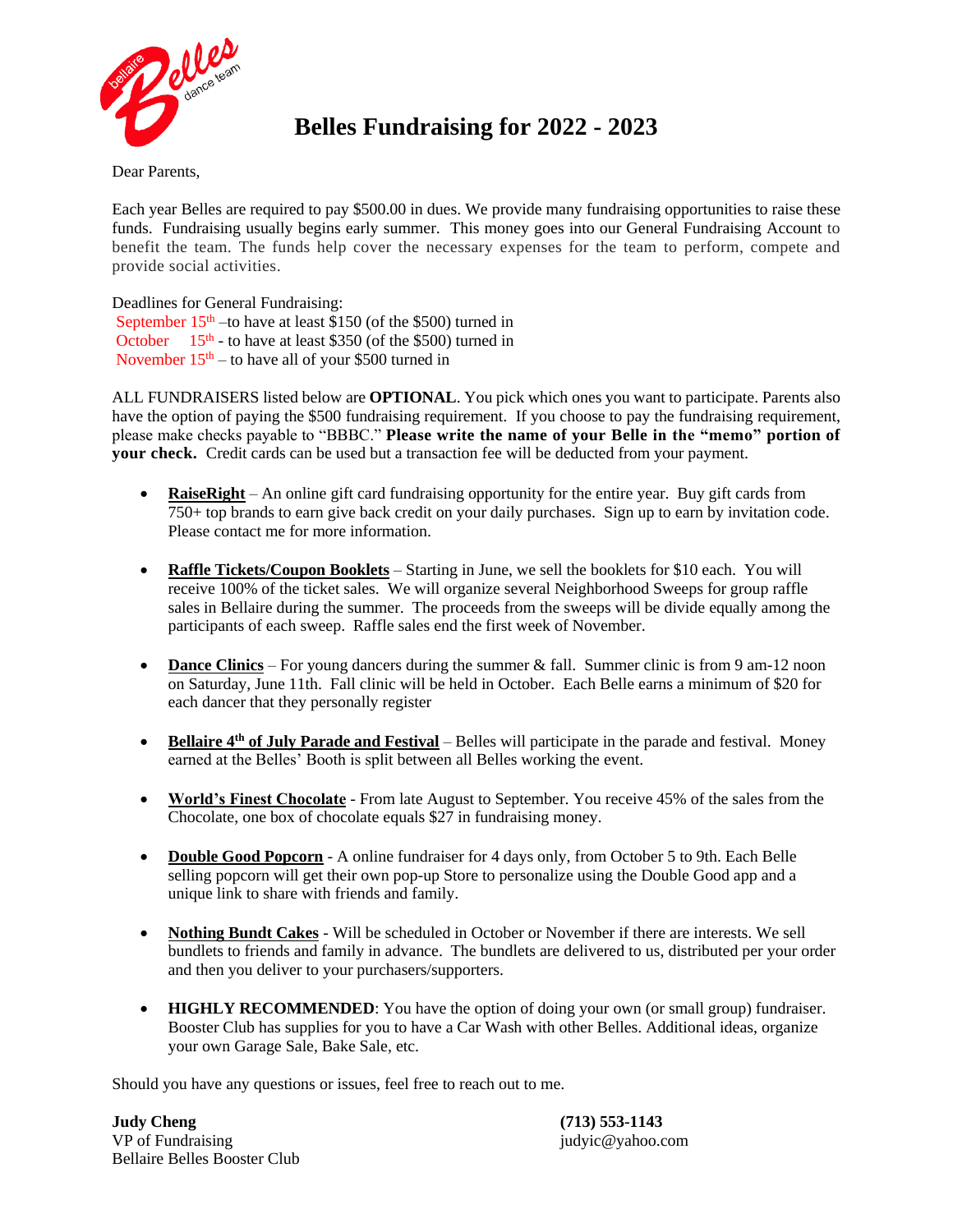

# **Belles Fundraising for 2022 - 2023**

Dear Parents,

Each year Belles are required to pay \$500.00 in dues. We provide many fundraising opportunities to raise these funds. Fundraising usually begins early summer. This money goes into our General Fundraising Account to benefit the team. The funds help cover the necessary expenses for the team to perform, compete and provide social activities.

Deadlines for General Fundraising: September  $15<sup>th</sup>$  –to have at least \$150 (of the \$500) turned in October  $15<sup>th</sup>$  - to have at least \$350 (of the \$500) turned in November  $15<sup>th</sup> -$  to have all of your \$500 turned in

ALL FUNDRAISERS listed below are **OPTIONAL**. You pick which ones you want to participate. Parents also have the option of paying the \$500 fundraising requirement. If you choose to pay the fundraising requirement, please make checks payable to "BBBC." **Please write the name of your Belle in the "memo" portion of your check.** Credit cards can be used but a transaction fee will be deducted from your payment.

- **RaiseRight** An online gift card fundraising opportunity for the entire year. Buy gift cards from 750+ top brands to earn give back credit on your daily purchases. Sign up to earn by invitation code. Please contact me for more information.
- **Raffle Tickets/Coupon Booklets** Starting in June, we sell the booklets for \$10 each. You will receive 100% of the ticket sales. We will organize several Neighborhood Sweeps for group raffle sales in Bellaire during the summer. The proceeds from the sweeps will be divide equally among the participants of each sweep. Raffle sales end the first week of November.
- **Dance Clinics** For young dancers during the summer & fall. Summer clinic is from 9 am-12 noon on Saturday, June 11th. Fall clinic will be held in October. Each Belle earns a minimum of \$20 for each dancer that they personally register
- **Bellaire 4th of July Parade and Festival** Belles will participate in the parade and festival. Money earned at the Belles' Booth is split between all Belles working the event.
- **World's Finest Chocolate** From late August to September. You receive 45% of the sales from the Chocolate, one box of chocolate equals \$27 in fundraising money.
- **Double Good Popcorn** A online fundraiser for 4 days only, from October 5 to 9th. Each Belle selling popcorn will get their own pop-up Store to personalize using the Double Good app and a unique link to share with friends and family.
- **Nothing Bundt Cakes** Will be scheduled in October or November if there are interests. We sell bundlets to friends and family in advance. The bundlets are delivered to us, distributed per your order and then you deliver to your purchasers/supporters.
- **HIGHLY RECOMMENDED**: You have the option of doing your own (or small group) fundraiser. Booster Club has supplies for you to have a Car Wash with other Belles. Additional ideas, organize your own Garage Sale, Bake Sale, etc.

Should you have any questions or issues, feel free to reach out to me.